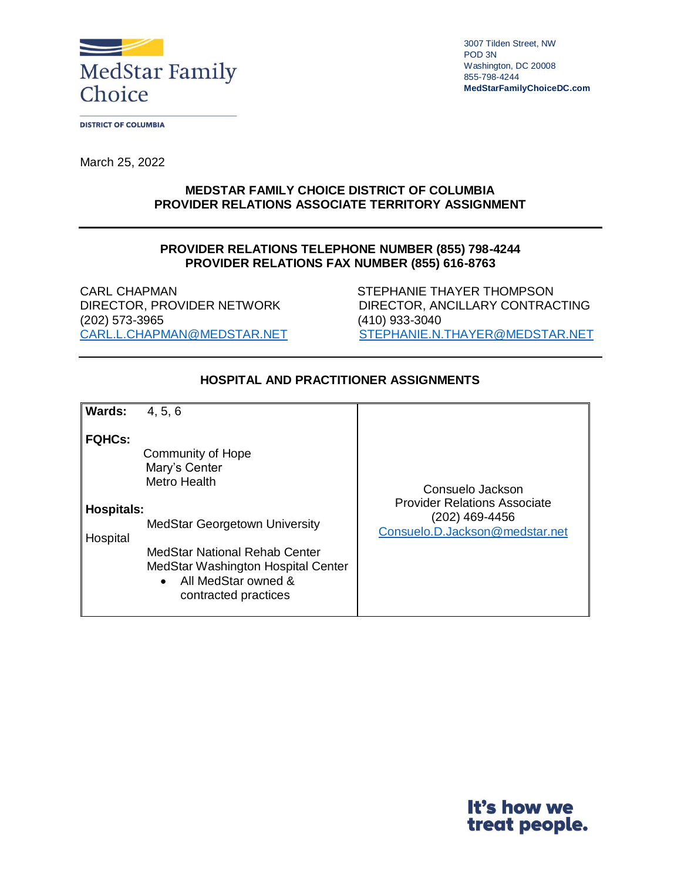

3007 Tilden Street, NW POD 3N Washington, DC 20008 855-798-4244 **MedStarFamilyChoiceDC.com**

**DISTRICT OF COLUMBIA** 

March 25, 2022

## **MEDSTAR FAMILY CHOICE DISTRICT OF COLUMBIA PROVIDER RELATIONS ASSOCIATE TERRITORY ASSIGNMENT**

## **PROVIDER RELATIONS TELEPHONE NUMBER (855) 798-4244 PROVIDER RELATIONS FAX NUMBER (855) 616-8763**

CARL CHAPMAN STEPHANIE THAYER THOMPSON (202) 573-3965 (410) 933-3040

DIRECTOR, PROVIDER NETWORK DIRECTOR, ANCILLARY CONTRACTING [CARL.L.CHAPMAN@MEDSTAR.NET](mailto:CARL.L.CHAPMAN@MEDSTAR.NET) [STEPHANIE.N.THAYER@MEDSTAR.NET](mailto:STEPHANIE.N.THAYER@MEDSTAR.NET)

| <b>Wards:</b>                                  | 4, 5, 6                                                                                                                                                                                                                       |                                                                                                             |
|------------------------------------------------|-------------------------------------------------------------------------------------------------------------------------------------------------------------------------------------------------------------------------------|-------------------------------------------------------------------------------------------------------------|
| <b>FQHCs:</b><br><b>Hospitals:</b><br>Hospital | Community of Hope<br>Mary's Center<br>Metro Health<br><b>MedStar Georgetown University</b><br>MedStar National Rehab Center<br>MedStar Washington Hospital Center<br>All MedStar owned &<br>$\bullet$<br>contracted practices | Consuelo Jackson<br><b>Provider Relations Associate</b><br>(202) 469-4456<br>Consuelo.D.Jackson@medstar.net |

## **HOSPITAL AND PRACTITIONER ASSIGNMENTS**

It's how we treat people.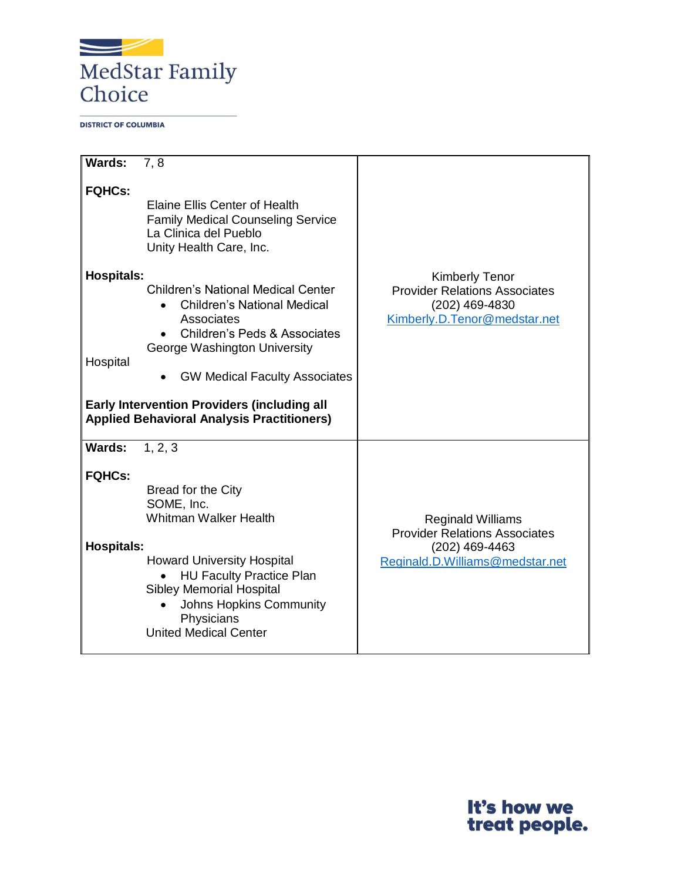

**DISTRICT OF COLUMBIA** 

| Wards:                        | 7.8                                                                                                                                                                                                                                                                                                                         |                                                                                                                 |
|-------------------------------|-----------------------------------------------------------------------------------------------------------------------------------------------------------------------------------------------------------------------------------------------------------------------------------------------------------------------------|-----------------------------------------------------------------------------------------------------------------|
| <b>FQHCs:</b>                 | <b>Elaine Ellis Center of Health</b><br><b>Family Medical Counseling Service</b><br>La Clinica del Pueblo<br>Unity Health Care, Inc.                                                                                                                                                                                        |                                                                                                                 |
| <b>Hospitals:</b><br>Hospital | <b>Children's National Medical Center</b><br><b>Children's National Medical</b><br>Associates<br><b>Children's Peds &amp; Associates</b><br>George Washington University<br><b>GW Medical Faculty Associates</b><br><b>Early Intervention Providers (including all</b><br><b>Applied Behavioral Analysis Practitioners)</b> | <b>Kimberly Tenor</b><br><b>Provider Relations Associates</b><br>(202) 469-4830<br>Kimberly.D.Tenor@medstar.net |
| <b>Wards:</b>                 | 1, 2, 3                                                                                                                                                                                                                                                                                                                     |                                                                                                                 |
| <b>FQHCs:</b>                 | Bread for the City<br>SOME, Inc.<br><b>Whitman Walker Health</b>                                                                                                                                                                                                                                                            | <b>Reginald Williams</b>                                                                                        |
| <b>Hospitals:</b>             | <b>Howard University Hospital</b><br><b>HU Faculty Practice Plan</b><br><b>Sibley Memorial Hospital</b><br>Johns Hopkins Community<br>Physicians<br><b>United Medical Center</b>                                                                                                                                            | <b>Provider Relations Associates</b><br>(202) 469-4463<br>Reginald.D.Williams@medstar.net                       |